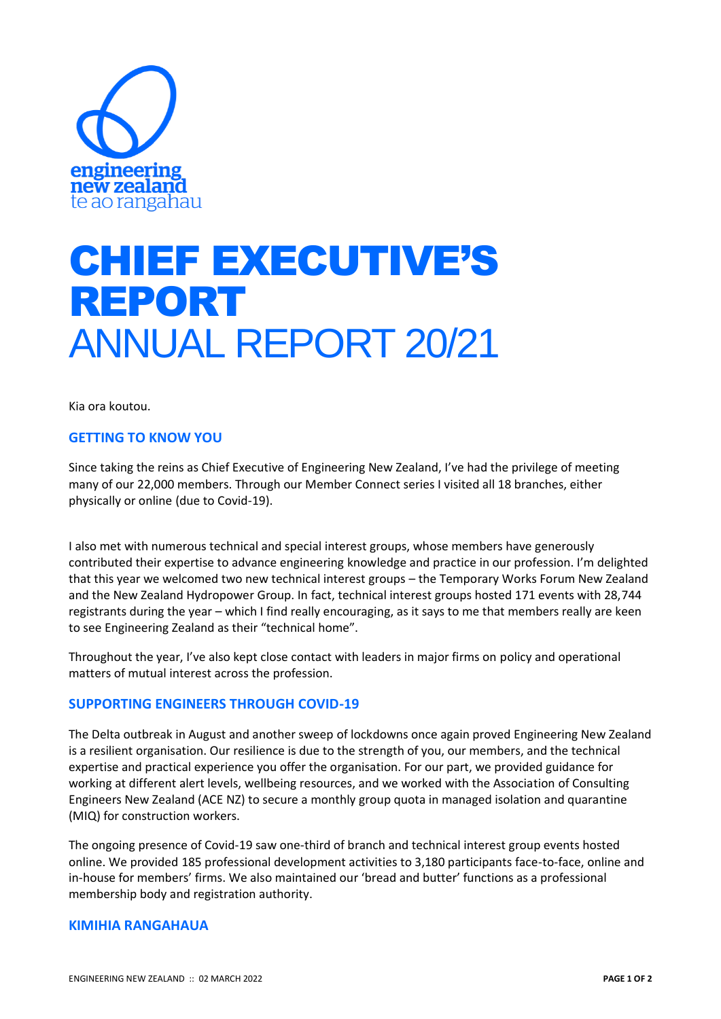

# CHIEF EXECUTIVE'S REPORT ANNUAL REPORT 20/21

Kia ora koutou.

## **GETTING TO KNOW YOU**

Since taking the reins as Chief Executive of Engineering New Zealand, I've had the privilege of meeting many of our 22,000 members. Through our Member Connect series I visited all 18 branches, either physically or online (due to Covid-19).

I also met with numerous technical and special interest groups, whose members have generously contributed their expertise to advance engineering knowledge and practice in our profession. I'm delighted that this year we welcomed two new technical interest groups – the Temporary Works Forum New Zealand and the New Zealand Hydropower Group. In fact, technical interest groups hosted 171 events with 28,744 registrants during the year – which I find really encouraging, as it says to me that members really are keen to see Engineering Zealand as their "technical home".

Throughout the year, I've also kept close contact with leaders in major firms on policy and operational matters of mutual interest across the profession.

## **SUPPORTING ENGINEERS THROUGH COVID-19**

The Delta outbreak in August and another sweep of lockdowns once again proved Engineering New Zealand is a resilient organisation. Our resilience is due to the strength of you, our members, and the technical expertise and practical experience you offer the organisation. For our part, we provided guidance for working at different alert levels, wellbeing resources, and we worked with the Association of Consulting Engineers New Zealand (ACE NZ) to secure a monthly group quota in managed isolation and quarantine (MIQ) for construction workers.

The ongoing presence of Covid-19 saw one-third of branch and technical interest group events hosted online. We provided 185 professional development activities to 3,180 participants face-to-face, online and in-house for members' firms. We also maintained our 'bread and butter' functions as a professional membership body and registration authority.

#### **KIMIHIA RANGAHAUA**